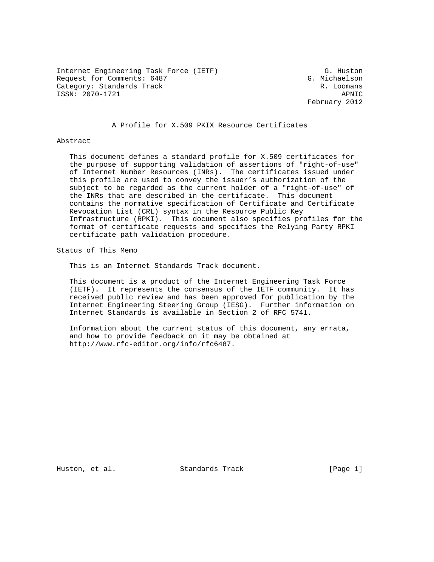Internet Engineering Task Force (IETF) G. Huston Request for Comments: 6487 G. Michaelson Category: Standards Track R. Loomans ISSN: 2070-1721 APNIC

February 2012

## A Profile for X.509 PKIX Resource Certificates

#### Abstract

 This document defines a standard profile for X.509 certificates for the purpose of supporting validation of assertions of "right-of-use" of Internet Number Resources (INRs). The certificates issued under this profile are used to convey the issuer's authorization of the subject to be regarded as the current holder of a "right-of-use" of the INRs that are described in the certificate. This document contains the normative specification of Certificate and Certificate Revocation List (CRL) syntax in the Resource Public Key Infrastructure (RPKI). This document also specifies profiles for the format of certificate requests and specifies the Relying Party RPKI certificate path validation procedure.

Status of This Memo

This is an Internet Standards Track document.

 This document is a product of the Internet Engineering Task Force (IETF). It represents the consensus of the IETF community. It has received public review and has been approved for publication by the Internet Engineering Steering Group (IESG). Further information on Internet Standards is available in Section 2 of RFC 5741.

 Information about the current status of this document, any errata, and how to provide feedback on it may be obtained at http://www.rfc-editor.org/info/rfc6487.

Huston, et al. Standards Track [Page 1]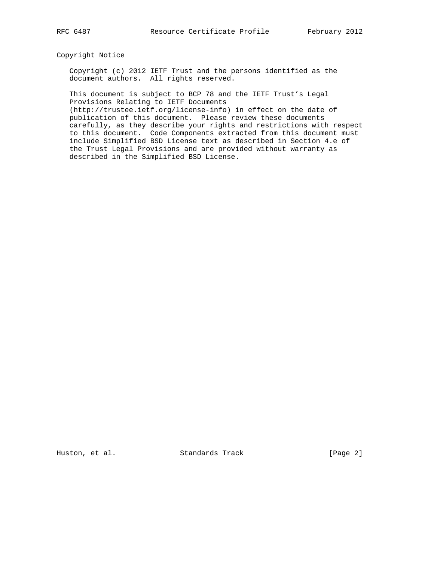Copyright Notice

 Copyright (c) 2012 IETF Trust and the persons identified as the document authors. All rights reserved.

 This document is subject to BCP 78 and the IETF Trust's Legal Provisions Relating to IETF Documents

 (http://trustee.ietf.org/license-info) in effect on the date of publication of this document. Please review these documents carefully, as they describe your rights and restrictions with respect to this document. Code Components extracted from this document must include Simplified BSD License text as described in Section 4.e of the Trust Legal Provisions and are provided without warranty as described in the Simplified BSD License.

Huston, et al. Standards Track [Page 2]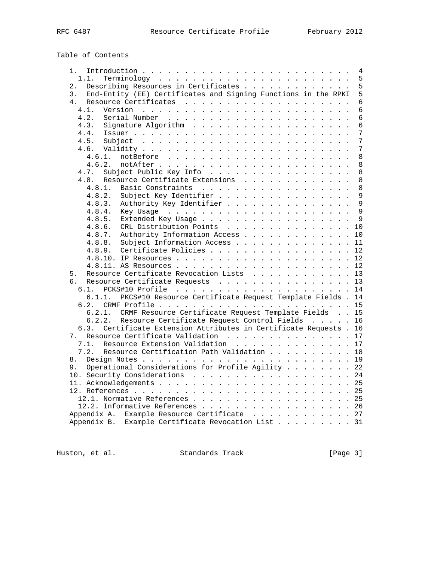Table of Contents

| 1.                                                                    | 4              |
|-----------------------------------------------------------------------|----------------|
| 1.1.                                                                  | 5              |
| Describing Resources in Certificates<br>$2$ .                         | 5              |
| End-Entity (EE) Certificates and Signing Functions in the RPKI<br>3.  | 5              |
| 4.                                                                    | $\epsilon$     |
| 4.1.                                                                  | 6              |
| 4.2.                                                                  | 6              |
| 4.3.                                                                  | $\epsilon$     |
| 4.4.                                                                  | 7              |
| 4.5.                                                                  | $\overline{7}$ |
|                                                                       | 7              |
| 4.6.1.                                                                | 8              |
| 4.6.2.                                                                | 8              |
| Subject Public Key Info<br>4.7.                                       | $\,8\,$        |
| Resource Certificate Extensions<br>4.8.                               | 8              |
| Basic Constraints<br>4.8.1.                                           | 8              |
| Subject Key Identifier<br>4.8.2.                                      | $\mathsf{Q}$   |
| Authority Key Identifier<br>4.8.3.                                    | 9              |
| 4.8.4.                                                                | 9              |
| 4.8.5.<br>Extended Key Usage                                          | $\mathsf{Q}$   |
|                                                                       |                |
| 4.8.6.<br>CRL Distribution Points 10                                  |                |
| Authority Information Access<br>4.8.7.                                | 10             |
| 4.8.8. Subject Information Access                                     | 11             |
| 4.8.9. Certificate Policies                                           | 12             |
|                                                                       | 12             |
|                                                                       |                |
| Resource Certificate Revocation Lists 13<br>5.                        |                |
| Resource Certificate Requests 13<br>б.                                |                |
| 6.1.                                                                  |                |
| PKCS#10 Resource Certificate Request Template Fields . 14<br>6.1.1.   |                |
|                                                                       |                |
| 6.2.1. CRMF Resource Certificate Request Template Fields 15           |                |
| Resource Certificate Request Control Fields 16<br>6.2.2.              |                |
| Certificate Extension Attributes in Certificate Requests . 16<br>6.3. |                |
| 7. Resource Certificate Validation 17                                 |                |
| Resource Extension Validation 17<br>7.1.                              |                |
| Resource Certification Path Validation 18<br>7.2.                     |                |
| 8.                                                                    |                |
| Operational Considerations for Profile Agility 22<br>9.               |                |
| 10. Security Considerations 24                                        |                |
|                                                                       |                |
|                                                                       |                |
| 12.1. Normative References 25                                         |                |
| 12.2. Informative References 26                                       |                |
| Appendix A. Example Resource Certificate 27                           |                |
| Appendix B. Example Certificate Revocation List 31                    |                |

Huston, et al. Standards Track [Page 3]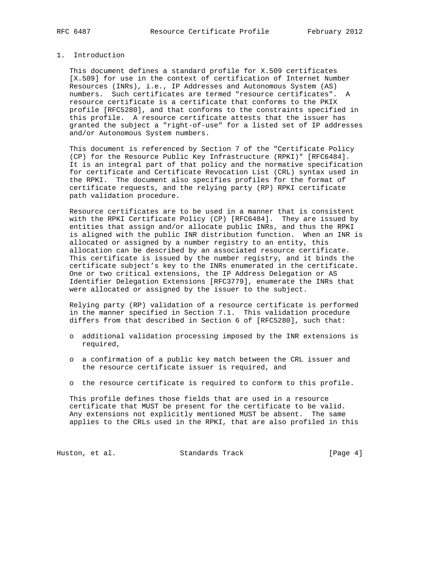## 1. Introduction

 This document defines a standard profile for X.509 certificates [X.509] for use in the context of certification of Internet Number Resources (INRs), i.e., IP Addresses and Autonomous System (AS) numbers. Such certificates are termed "resource certificates". A resource certificate is a certificate that conforms to the PKIX profile [RFC5280], and that conforms to the constraints specified in this profile. A resource certificate attests that the issuer has granted the subject a "right-of-use" for a listed set of IP addresses and/or Autonomous System numbers.

 This document is referenced by Section 7 of the "Certificate Policy (CP) for the Resource Public Key Infrastructure (RPKI)" [RFC6484]. It is an integral part of that policy and the normative specification for certificate and Certificate Revocation List (CRL) syntax used in the RPKI. The document also specifies profiles for the format of certificate requests, and the relying party (RP) RPKI certificate path validation procedure.

 Resource certificates are to be used in a manner that is consistent with the RPKI Certificate Policy (CP) [RFC6484]. They are issued by entities that assign and/or allocate public INRs, and thus the RPKI is aligned with the public INR distribution function. When an INR is allocated or assigned by a number registry to an entity, this allocation can be described by an associated resource certificate. This certificate is issued by the number registry, and it binds the certificate subject's key to the INRs enumerated in the certificate. One or two critical extensions, the IP Address Delegation or AS Identifier Delegation Extensions [RFC3779], enumerate the INRs that were allocated or assigned by the issuer to the subject.

 Relying party (RP) validation of a resource certificate is performed in the manner specified in Section 7.1. This validation procedure differs from that described in Section 6 of [RFC5280], such that:

- o additional validation processing imposed by the INR extensions is required,
- o a confirmation of a public key match between the CRL issuer and the resource certificate issuer is required, and
- o the resource certificate is required to conform to this profile.

 This profile defines those fields that are used in a resource certificate that MUST be present for the certificate to be valid. Any extensions not explicitly mentioned MUST be absent. The same applies to the CRLs used in the RPKI, that are also profiled in this

Huston, et al. Standards Track [Page 4]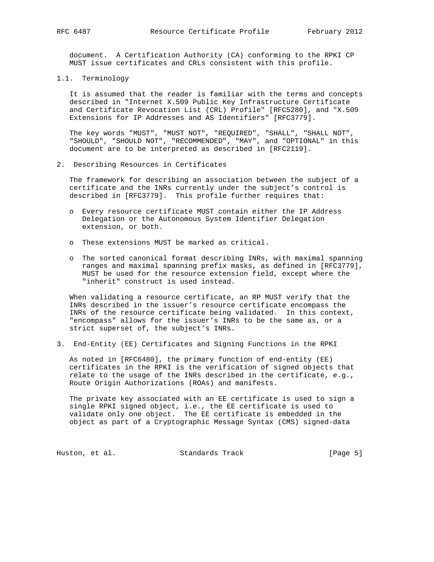document. A Certification Authority (CA) conforming to the RPKI CP MUST issue certificates and CRLs consistent with this profile.

1.1. Terminology

 It is assumed that the reader is familiar with the terms and concepts described in "Internet X.509 Public Key Infrastructure Certificate and Certificate Revocation List (CRL) Profile" [RFC5280], and "X.509 Extensions for IP Addresses and AS Identifiers" [RFC3779].

 The key words "MUST", "MUST NOT", "REQUIRED", "SHALL", "SHALL NOT", "SHOULD", "SHOULD NOT", "RECOMMENDED", "MAY", and "OPTIONAL" in this document are to be interpreted as described in [RFC2119].

2. Describing Resources in Certificates

 The framework for describing an association between the subject of a certificate and the INRs currently under the subject's control is described in [RFC3779]. This profile further requires that:

- o Every resource certificate MUST contain either the IP Address Delegation or the Autonomous System Identifier Delegation extension, or both.
- o These extensions MUST be marked as critical.
- o The sorted canonical format describing INRs, with maximal spanning ranges and maximal spanning prefix masks, as defined in [RFC3779], MUST be used for the resource extension field, except where the "inherit" construct is used instead.

 When validating a resource certificate, an RP MUST verify that the INRs described in the issuer's resource certificate encompass the INRs of the resource certificate being validated. In this context, "encompass" allows for the issuer's INRs to be the same as, or a strict superset of, the subject's INRs.

3. End-Entity (EE) Certificates and Signing Functions in the RPKI

 As noted in [RFC6480], the primary function of end-entity (EE) certificates in the RPKI is the verification of signed objects that relate to the usage of the INRs described in the certificate, e.g., Route Origin Authorizations (ROAs) and manifests.

 The private key associated with an EE certificate is used to sign a single RPKI signed object, i.e., the EE certificate is used to validate only one object. The EE certificate is embedded in the object as part of a Cryptographic Message Syntax (CMS) signed-data

Huston, et al. Standards Track [Page 5]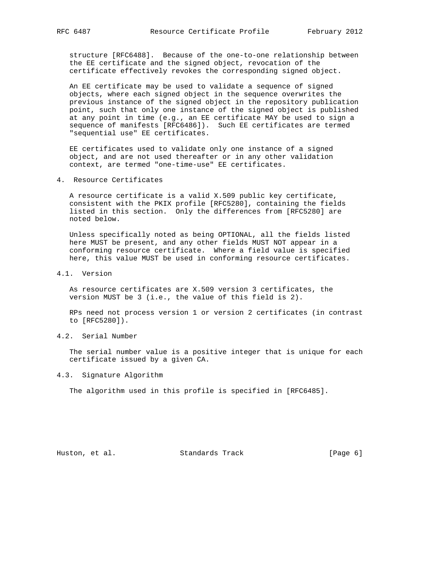structure [RFC6488]. Because of the one-to-one relationship between the EE certificate and the signed object, revocation of the certificate effectively revokes the corresponding signed object.

 An EE certificate may be used to validate a sequence of signed objects, where each signed object in the sequence overwrites the previous instance of the signed object in the repository publication point, such that only one instance of the signed object is published at any point in time (e.g., an EE certificate MAY be used to sign a sequence of manifests [RFC6486]). Such EE certificates are termed "sequential use" EE certificates.

 EE certificates used to validate only one instance of a signed object, and are not used thereafter or in any other validation context, are termed "one-time-use" EE certificates.

4. Resource Certificates

 A resource certificate is a valid X.509 public key certificate, consistent with the PKIX profile [RFC5280], containing the fields listed in this section. Only the differences from [RFC5280] are noted below.

 Unless specifically noted as being OPTIONAL, all the fields listed here MUST be present, and any other fields MUST NOT appear in a conforming resource certificate. Where a field value is specified here, this value MUST be used in conforming resource certificates.

4.1. Version

 As resource certificates are X.509 version 3 certificates, the version MUST be 3 (i.e., the value of this field is 2).

 RPs need not process version 1 or version 2 certificates (in contrast to [RFC5280]).

4.2. Serial Number

 The serial number value is a positive integer that is unique for each certificate issued by a given CA.

4.3. Signature Algorithm

The algorithm used in this profile is specified in [RFC6485].

Huston, et al. Standards Track [Page 6]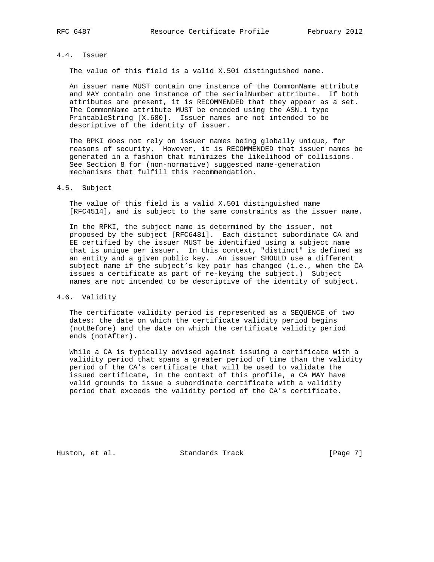## 4.4. Issuer

The value of this field is a valid X.501 distinguished name.

 An issuer name MUST contain one instance of the CommonName attribute and MAY contain one instance of the serialNumber attribute. If both attributes are present, it is RECOMMENDED that they appear as a set. The CommonName attribute MUST be encoded using the ASN.1 type PrintableString [X.680]. Issuer names are not intended to be descriptive of the identity of issuer.

 The RPKI does not rely on issuer names being globally unique, for reasons of security. However, it is RECOMMENDED that issuer names be generated in a fashion that minimizes the likelihood of collisions. See Section 8 for (non-normative) suggested name-generation mechanisms that fulfill this recommendation.

#### 4.5. Subject

 The value of this field is a valid X.501 distinguished name [RFC4514], and is subject to the same constraints as the issuer name.

 In the RPKI, the subject name is determined by the issuer, not proposed by the subject [RFC6481]. Each distinct subordinate CA and EE certified by the issuer MUST be identified using a subject name that is unique per issuer. In this context, "distinct" is defined as an entity and a given public key. An issuer SHOULD use a different subject name if the subject's key pair has changed (i.e., when the CA issues a certificate as part of re-keying the subject.) Subject names are not intended to be descriptive of the identity of subject.

# 4.6. Validity

 The certificate validity period is represented as a SEQUENCE of two dates: the date on which the certificate validity period begins (notBefore) and the date on which the certificate validity period ends (notAfter).

 While a CA is typically advised against issuing a certificate with a validity period that spans a greater period of time than the validity period of the CA's certificate that will be used to validate the issued certificate, in the context of this profile, a CA MAY have valid grounds to issue a subordinate certificate with a validity period that exceeds the validity period of the CA's certificate.

Huston, et al. Standards Track [Page 7]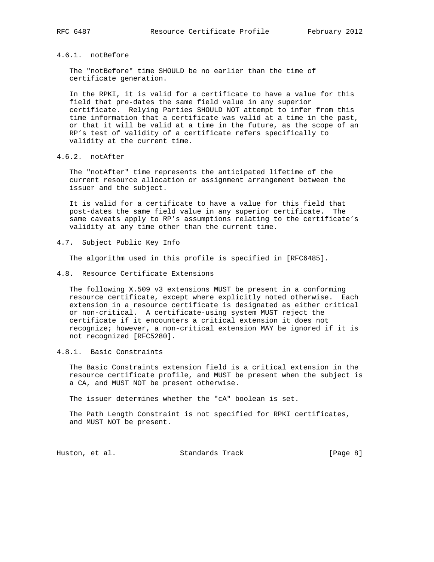## 4.6.1. notBefore

 The "notBefore" time SHOULD be no earlier than the time of certificate generation.

 In the RPKI, it is valid for a certificate to have a value for this field that pre-dates the same field value in any superior certificate. Relying Parties SHOULD NOT attempt to infer from this time information that a certificate was valid at a time in the past, or that it will be valid at a time in the future, as the scope of an RP's test of validity of a certificate refers specifically to validity at the current time.

4.6.2. notAfter

 The "notAfter" time represents the anticipated lifetime of the current resource allocation or assignment arrangement between the issuer and the subject.

 It is valid for a certificate to have a value for this field that post-dates the same field value in any superior certificate. The same caveats apply to RP's assumptions relating to the certificate's validity at any time other than the current time.

4.7. Subject Public Key Info

The algorithm used in this profile is specified in [RFC6485].

4.8. Resource Certificate Extensions

 The following X.509 v3 extensions MUST be present in a conforming resource certificate, except where explicitly noted otherwise. Each extension in a resource certificate is designated as either critical or non-critical. A certificate-using system MUST reject the certificate if it encounters a critical extension it does not recognize; however, a non-critical extension MAY be ignored if it is not recognized [RFC5280].

4.8.1. Basic Constraints

 The Basic Constraints extension field is a critical extension in the resource certificate profile, and MUST be present when the subject is a CA, and MUST NOT be present otherwise.

The issuer determines whether the "cA" boolean is set.

 The Path Length Constraint is not specified for RPKI certificates, and MUST NOT be present.

Huston, et al. Standards Track [Page 8]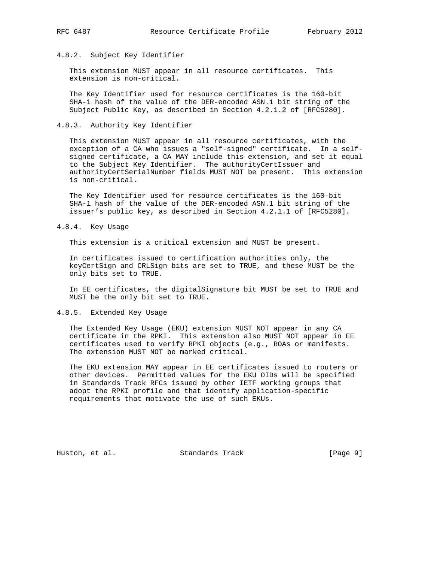## 4.8.2. Subject Key Identifier

 This extension MUST appear in all resource certificates. This extension is non-critical.

 The Key Identifier used for resource certificates is the 160-bit SHA-1 hash of the value of the DER-encoded ASN.1 bit string of the Subject Public Key, as described in Section 4.2.1.2 of [RFC5280].

### 4.8.3. Authority Key Identifier

 This extension MUST appear in all resource certificates, with the exception of a CA who issues a "self-signed" certificate. In a self signed certificate, a CA MAY include this extension, and set it equal to the Subject Key Identifier. The authorityCertIssuer and authorityCertSerialNumber fields MUST NOT be present. This extension is non-critical.

 The Key Identifier used for resource certificates is the 160-bit SHA-1 hash of the value of the DER-encoded ASN.1 bit string of the issuer's public key, as described in Section 4.2.1.1 of [RFC5280].

#### 4.8.4. Key Usage

This extension is a critical extension and MUST be present.

 In certificates issued to certification authorities only, the keyCertSign and CRLSign bits are set to TRUE, and these MUST be the only bits set to TRUE.

 In EE certificates, the digitalSignature bit MUST be set to TRUE and MUST be the only bit set to TRUE.

### 4.8.5. Extended Key Usage

 The Extended Key Usage (EKU) extension MUST NOT appear in any CA certificate in the RPKI. This extension also MUST NOT appear in EE certificates used to verify RPKI objects (e.g., ROAs or manifests. The extension MUST NOT be marked critical.

 The EKU extension MAY appear in EE certificates issued to routers or other devices. Permitted values for the EKU OIDs will be specified in Standards Track RFCs issued by other IETF working groups that adopt the RPKI profile and that identify application-specific requirements that motivate the use of such EKUs.

Huston, et al. Standards Track [Page 9]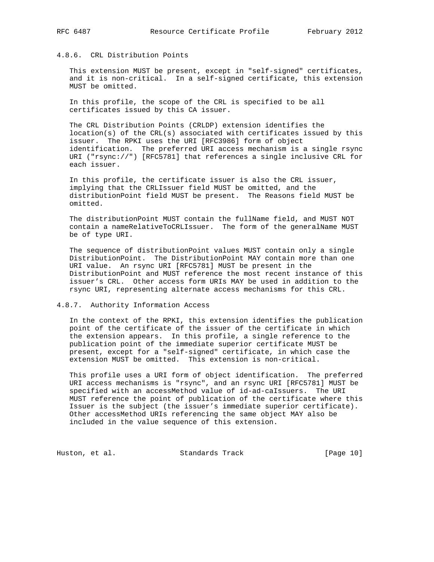## 4.8.6. CRL Distribution Points

 This extension MUST be present, except in "self-signed" certificates, and it is non-critical. In a self-signed certificate, this extension MUST be omitted.

 In this profile, the scope of the CRL is specified to be all certificates issued by this CA issuer.

 The CRL Distribution Points (CRLDP) extension identifies the location(s) of the CRL(s) associated with certificates issued by this issuer. The RPKI uses the URI [RFC3986] form of object identification. The preferred URI access mechanism is a single rsync URI ("rsync://") [RFC5781] that references a single inclusive CRL for each issuer.

 In this profile, the certificate issuer is also the CRL issuer, implying that the CRLIssuer field MUST be omitted, and the distributionPoint field MUST be present. The Reasons field MUST be omitted.

 The distributionPoint MUST contain the fullName field, and MUST NOT contain a nameRelativeToCRLIssuer. The form of the generalName MUST be of type URI.

 The sequence of distributionPoint values MUST contain only a single DistributionPoint. The DistributionPoint MAY contain more than one URI value. An rsync URI [RFC5781] MUST be present in the DistributionPoint and MUST reference the most recent instance of this issuer's CRL. Other access form URIs MAY be used in addition to the rsync URI, representing alternate access mechanisms for this CRL.

4.8.7. Authority Information Access

 In the context of the RPKI, this extension identifies the publication point of the certificate of the issuer of the certificate in which the extension appears. In this profile, a single reference to the publication point of the immediate superior certificate MUST be present, except for a "self-signed" certificate, in which case the extension MUST be omitted. This extension is non-critical.

 This profile uses a URI form of object identification. The preferred URI access mechanisms is "rsync", and an rsync URI [RFC5781] MUST be specified with an accessMethod value of id-ad-caIssuers. The URI MUST reference the point of publication of the certificate where this Issuer is the subject (the issuer's immediate superior certificate). Other accessMethod URIs referencing the same object MAY also be included in the value sequence of this extension.

Huston, et al. Standards Track [Page 10]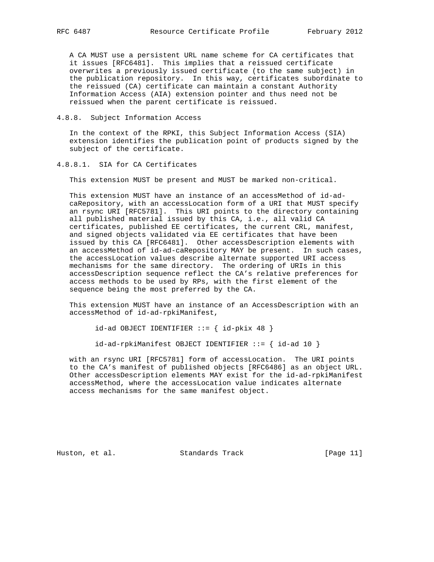A CA MUST use a persistent URL name scheme for CA certificates that it issues [RFC6481]. This implies that a reissued certificate overwrites a previously issued certificate (to the same subject) in the publication repository. In this way, certificates subordinate to the reissued (CA) certificate can maintain a constant Authority Information Access (AIA) extension pointer and thus need not be reissued when the parent certificate is reissued.

4.8.8. Subject Information Access

 In the context of the RPKI, this Subject Information Access (SIA) extension identifies the publication point of products signed by the subject of the certificate.

### 4.8.8.1. SIA for CA Certificates

This extension MUST be present and MUST be marked non-critical.

 This extension MUST have an instance of an accessMethod of id-ad caRepository, with an accessLocation form of a URI that MUST specify an rsync URI [RFC5781]. This URI points to the directory containing all published material issued by this CA, i.e., all valid CA certificates, published EE certificates, the current CRL, manifest, and signed objects validated via EE certificates that have been issued by this CA [RFC6481]. Other accessDescription elements with an accessMethod of id-ad-caRepository MAY be present. In such cases, the accessLocation values describe alternate supported URI access mechanisms for the same directory. The ordering of URIs in this accessDescription sequence reflect the CA's relative preferences for access methods to be used by RPs, with the first element of the sequence being the most preferred by the CA.

 This extension MUST have an instance of an AccessDescription with an accessMethod of id-ad-rpkiManifest,

 $id-ad$  OBJECT IDENTIFIER  $::=$  {  $id-pkix$  48 }

id-ad-rpkiManifest OBJECT IDENTIFIER ::= { id-ad 10 }

 with an rsync URI [RFC5781] form of accessLocation. The URI points to the CA's manifest of published objects [RFC6486] as an object URL. Other accessDescription elements MAY exist for the id-ad-rpkiManifest accessMethod, where the accessLocation value indicates alternate access mechanisms for the same manifest object.

Huston, et al. Standards Track [Page 11]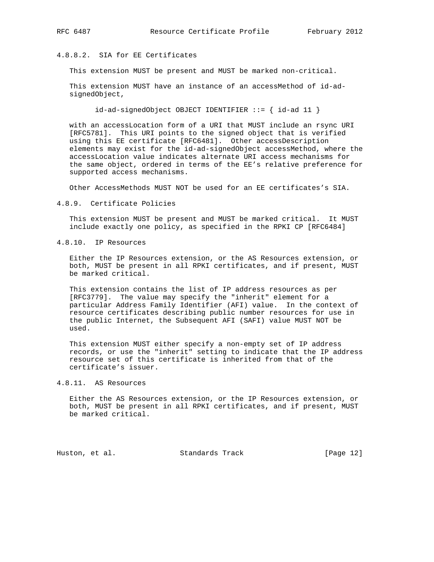# 4.8.8.2. SIA for EE Certificates

This extension MUST be present and MUST be marked non-critical.

 This extension MUST have an instance of an accessMethod of id-ad signedObject,

 $id-ad-signedObject OBJECT IDENTIFYER ::= { id-ad 11 }$ 

 with an accessLocation form of a URI that MUST include an rsync URI [RFC5781]. This URI points to the signed object that is verified using this EE certificate [RFC6481]. Other accessDescription elements may exist for the id-ad-signedObject accessMethod, where the accessLocation value indicates alternate URI access mechanisms for the same object, ordered in terms of the EE's relative preference for supported access mechanisms.

Other AccessMethods MUST NOT be used for an EE certificates's SIA.

4.8.9. Certificate Policies

 This extension MUST be present and MUST be marked critical. It MUST include exactly one policy, as specified in the RPKI CP [RFC6484]

4.8.10. IP Resources

 Either the IP Resources extension, or the AS Resources extension, or both, MUST be present in all RPKI certificates, and if present, MUST be marked critical.

 This extension contains the list of IP address resources as per [RFC3779]. The value may specify the "inherit" element for a particular Address Family Identifier (AFI) value. In the context of resource certificates describing public number resources for use in the public Internet, the Subsequent AFI (SAFI) value MUST NOT be used.

 This extension MUST either specify a non-empty set of IP address records, or use the "inherit" setting to indicate that the IP address resource set of this certificate is inherited from that of the certificate's issuer.

4.8.11. AS Resources

 Either the AS Resources extension, or the IP Resources extension, or both, MUST be present in all RPKI certificates, and if present, MUST be marked critical.

Huston, et al. Standards Track [Page 12]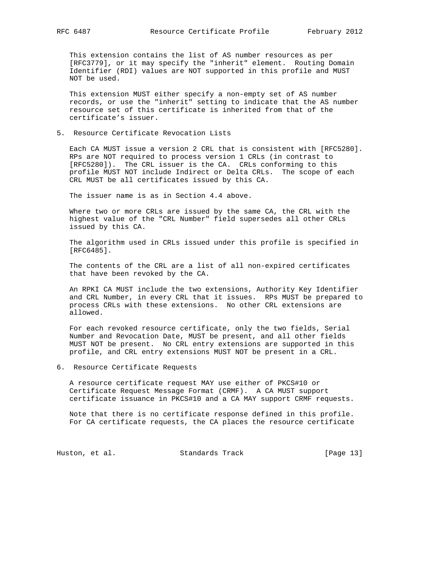This extension contains the list of AS number resources as per [RFC3779], or it may specify the "inherit" element. Routing Domain Identifier (RDI) values are NOT supported in this profile and MUST NOT be used.

 This extension MUST either specify a non-empty set of AS number records, or use the "inherit" setting to indicate that the AS number resource set of this certificate is inherited from that of the certificate's issuer.

5. Resource Certificate Revocation Lists

 Each CA MUST issue a version 2 CRL that is consistent with [RFC5280]. RPs are NOT required to process version 1 CRLs (in contrast to [RFC5280]). The CRL issuer is the CA. CRLs conforming to this profile MUST NOT include Indirect or Delta CRLs. The scope of each CRL MUST be all certificates issued by this CA.

The issuer name is as in Section 4.4 above.

 Where two or more CRLs are issued by the same CA, the CRL with the highest value of the "CRL Number" field supersedes all other CRLs issued by this CA.

 The algorithm used in CRLs issued under this profile is specified in [RFC6485].

 The contents of the CRL are a list of all non-expired certificates that have been revoked by the CA.

 An RPKI CA MUST include the two extensions, Authority Key Identifier and CRL Number, in every CRL that it issues. RPs MUST be prepared to process CRLs with these extensions. No other CRL extensions are allowed.

 For each revoked resource certificate, only the two fields, Serial Number and Revocation Date, MUST be present, and all other fields MUST NOT be present. No CRL entry extensions are supported in this profile, and CRL entry extensions MUST NOT be present in a CRL.

6. Resource Certificate Requests

 A resource certificate request MAY use either of PKCS#10 or Certificate Request Message Format (CRMF). A CA MUST support certificate issuance in PKCS#10 and a CA MAY support CRMF requests.

 Note that there is no certificate response defined in this profile. For CA certificate requests, the CA places the resource certificate

Huston, et al. Standards Track [Page 13]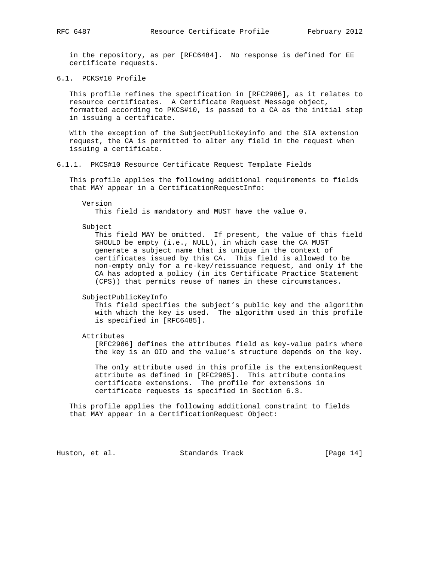in the repository, as per [RFC6484]. No response is defined for EE certificate requests.

6.1. PCKS#10 Profile

 This profile refines the specification in [RFC2986], as it relates to resource certificates. A Certificate Request Message object, formatted according to PKCS#10, is passed to a CA as the initial step in issuing a certificate.

 With the exception of the SubjectPublicKeyinfo and the SIA extension request, the CA is permitted to alter any field in the request when issuing a certificate.

6.1.1. PKCS#10 Resource Certificate Request Template Fields

 This profile applies the following additional requirements to fields that MAY appear in a CertificationRequestInfo:

Version

This field is mandatory and MUST have the value 0.

Subject

 This field MAY be omitted. If present, the value of this field SHOULD be empty (i.e., NULL), in which case the CA MUST generate a subject name that is unique in the context of certificates issued by this CA. This field is allowed to be non-empty only for a re-key/reissuance request, and only if the CA has adopted a policy (in its Certificate Practice Statement (CPS)) that permits reuse of names in these circumstances.

SubjectPublicKeyInfo

 This field specifies the subject's public key and the algorithm with which the key is used. The algorithm used in this profile is specified in [RFC6485].

Attributes

 [RFC2986] defines the attributes field as key-value pairs where the key is an OID and the value's structure depends on the key.

 The only attribute used in this profile is the extensionRequest attribute as defined in [RFC2985]. This attribute contains certificate extensions. The profile for extensions in certificate requests is specified in Section 6.3.

 This profile applies the following additional constraint to fields that MAY appear in a CertificationRequest Object:

Huston, et al. Standards Track [Page 14]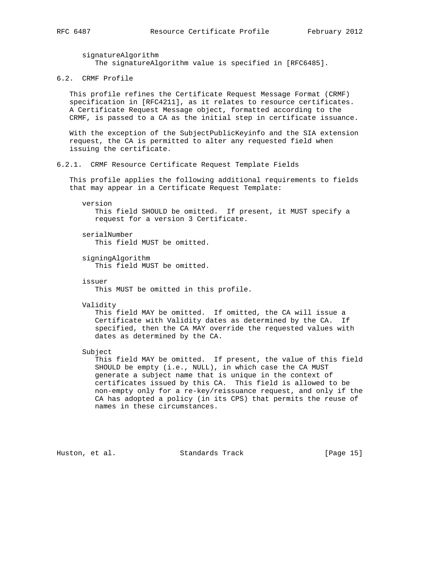signatureAlgorithm The signatureAlgorithm value is specified in [RFC6485].

6.2. CRMF Profile

 This profile refines the Certificate Request Message Format (CRMF) specification in [RFC4211], as it relates to resource certificates. A Certificate Request Message object, formatted according to the CRMF, is passed to a CA as the initial step in certificate issuance.

 With the exception of the SubjectPublicKeyinfo and the SIA extension request, the CA is permitted to alter any requested field when issuing the certificate.

6.2.1. CRMF Resource Certificate Request Template Fields

 This profile applies the following additional requirements to fields that may appear in a Certificate Request Template:

 version This field SHOULD be omitted. If present, it MUST specify a request for a version 3 Certificate.

 serialNumber This field MUST be omitted.

 signingAlgorithm This field MUST be omitted.

issuer

This MUST be omitted in this profile.

Validity

 This field MAY be omitted. If omitted, the CA will issue a Certificate with Validity dates as determined by the CA. If specified, then the CA MAY override the requested values with dates as determined by the CA.

Subject

 This field MAY be omitted. If present, the value of this field SHOULD be empty (i.e., NULL), in which case the CA MUST generate a subject name that is unique in the context of certificates issued by this CA. This field is allowed to be non-empty only for a re-key/reissuance request, and only if the CA has adopted a policy (in its CPS) that permits the reuse of names in these circumstances.

Huston, et al. Standards Track [Page 15]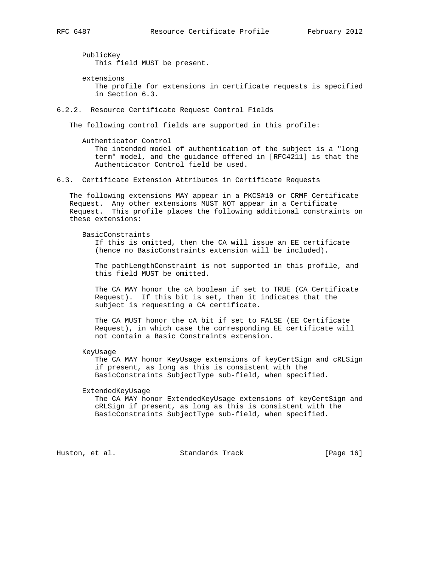PublicKey This field MUST be present.

 extensions The profile for extensions in certificate requests is specified in Section 6.3.

6.2.2. Resource Certificate Request Control Fields

The following control fields are supported in this profile:

 Authenticator Control The intended model of authentication of the subject is a "long term" model, and the guidance offered in [RFC4211] is that the Authenticator Control field be used.

6.3. Certificate Extension Attributes in Certificate Requests

 The following extensions MAY appear in a PKCS#10 or CRMF Certificate Request. Any other extensions MUST NOT appear in a Certificate Request. This profile places the following additional constraints on these extensions:

BasicConstraints

 If this is omitted, then the CA will issue an EE certificate (hence no BasicConstraints extension will be included).

 The pathLengthConstraint is not supported in this profile, and this field MUST be omitted.

 The CA MAY honor the cA boolean if set to TRUE (CA Certificate Request). If this bit is set, then it indicates that the subject is requesting a CA certificate.

 The CA MUST honor the cA bit if set to FALSE (EE Certificate Request), in which case the corresponding EE certificate will not contain a Basic Constraints extension.

KeyUsage

 The CA MAY honor KeyUsage extensions of keyCertSign and cRLSign if present, as long as this is consistent with the BasicConstraints SubjectType sub-field, when specified.

ExtendedKeyUsage

 The CA MAY honor ExtendedKeyUsage extensions of keyCertSign and cRLSign if present, as long as this is consistent with the BasicConstraints SubjectType sub-field, when specified.

Huston, et al. Standards Track [Page 16]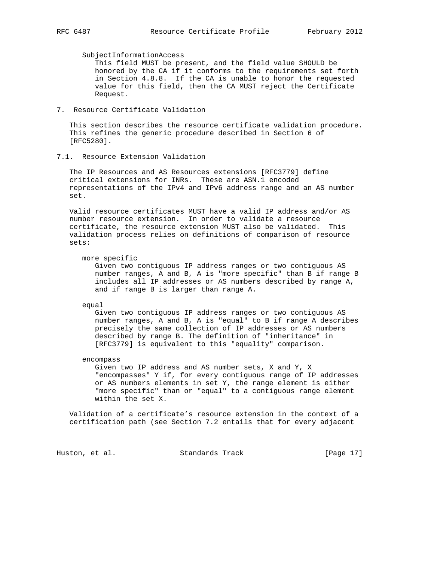SubjectInformationAccess

 This field MUST be present, and the field value SHOULD be honored by the CA if it conforms to the requirements set forth in Section 4.8.8. If the CA is unable to honor the requested value for this field, then the CA MUST reject the Certificate Request.

7. Resource Certificate Validation

 This section describes the resource certificate validation procedure. This refines the generic procedure described in Section 6 of [RFC5280].

7.1. Resource Extension Validation

 The IP Resources and AS Resources extensions [RFC3779] define critical extensions for INRs. These are ASN.1 encoded representations of the IPv4 and IPv6 address range and an AS number set.

 Valid resource certificates MUST have a valid IP address and/or AS number resource extension. In order to validate a resource certificate, the resource extension MUST also be validated. This validation process relies on definitions of comparison of resource sets:

more specific

 Given two contiguous IP address ranges or two contiguous AS number ranges, A and B, A is "more specific" than B if range B includes all IP addresses or AS numbers described by range A, and if range B is larger than range A.

equal

 Given two contiguous IP address ranges or two contiguous AS number ranges, A and B, A is "equal" to B if range A describes precisely the same collection of IP addresses or AS numbers described by range B. The definition of "inheritance" in [RFC3779] is equivalent to this "equality" comparison.

encompass

 Given two IP address and AS number sets, X and Y, X "encompasses" Y if, for every contiguous range of IP addresses or AS numbers elements in set Y, the range element is either "more specific" than or "equal" to a contiguous range element within the set X.

 Validation of a certificate's resource extension in the context of a certification path (see Section 7.2 entails that for every adjacent

Huston, et al. Standards Track [Page 17]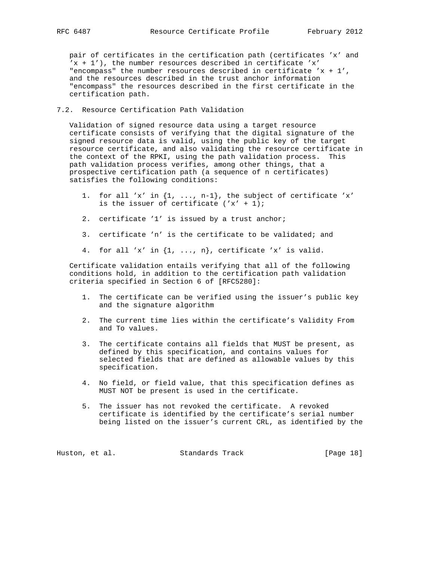pair of certificates in the certification path (certificates 'x' and 'x + 1'), the number resources described in certificate 'x' "encompass" the number resources described in certificate  $'x + 1'$ , and the resources described in the trust anchor information "encompass" the resources described in the first certificate in the certification path.

## 7.2. Resource Certification Path Validation

 Validation of signed resource data using a target resource certificate consists of verifying that the digital signature of the signed resource data is valid, using the public key of the target resource certificate, and also validating the resource certificate in the context of the RPKI, using the path validation process. This path validation process verifies, among other things, that a prospective certification path (a sequence of n certificates) satisfies the following conditions:

- 1. for all 'x' in  $\{1, \ldots, n-1\}$ , the subject of certificate 'x' is the issuer of certificate  $('x' + 1)i$
- 2. certificate '1' is issued by a trust anchor;
- 3. certificate 'n' is the certificate to be validated; and
- 4. for all 'x' in  $\{1, \ldots, n\}$ , certificate 'x' is valid.

 Certificate validation entails verifying that all of the following conditions hold, in addition to the certification path validation criteria specified in Section 6 of [RFC5280]:

- 1. The certificate can be verified using the issuer's public key and the signature algorithm
- 2. The current time lies within the certificate's Validity From and To values.
- 3. The certificate contains all fields that MUST be present, as defined by this specification, and contains values for selected fields that are defined as allowable values by this specification.
- 4. No field, or field value, that this specification defines as MUST NOT be present is used in the certificate.
- 5. The issuer has not revoked the certificate. A revoked certificate is identified by the certificate's serial number being listed on the issuer's current CRL, as identified by the

Huston, et al. Standards Track [Page 18]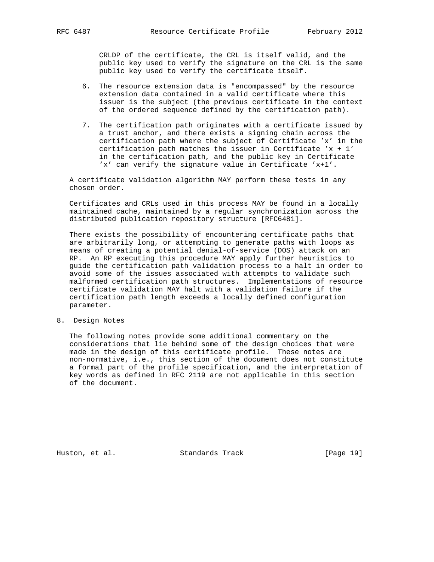CRLDP of the certificate, the CRL is itself valid, and the public key used to verify the signature on the CRL is the same public key used to verify the certificate itself.

- 6. The resource extension data is "encompassed" by the resource extension data contained in a valid certificate where this issuer is the subject (the previous certificate in the context of the ordered sequence defined by the certification path).
- 7. The certification path originates with a certificate issued by a trust anchor, and there exists a signing chain across the certification path where the subject of Certificate 'x' in the certification path matches the issuer in Certificate  $x + 1$ ' in the certification path, and the public key in Certificate 'x' can verify the signature value in Certificate 'x+1'.

 A certificate validation algorithm MAY perform these tests in any chosen order.

 Certificates and CRLs used in this process MAY be found in a locally maintained cache, maintained by a regular synchronization across the distributed publication repository structure [RFC6481].

 There exists the possibility of encountering certificate paths that are arbitrarily long, or attempting to generate paths with loops as means of creating a potential denial-of-service (DOS) attack on an RP. An RP executing this procedure MAY apply further heuristics to guide the certification path validation process to a halt in order to avoid some of the issues associated with attempts to validate such malformed certification path structures. Implementations of resource certificate validation MAY halt with a validation failure if the certification path length exceeds a locally defined configuration parameter.

8. Design Notes

 The following notes provide some additional commentary on the considerations that lie behind some of the design choices that were made in the design of this certificate profile. These notes are non-normative, i.e., this section of the document does not constitute a formal part of the profile specification, and the interpretation of key words as defined in RFC 2119 are not applicable in this section of the document.

Huston, et al. Standards Track [Page 19]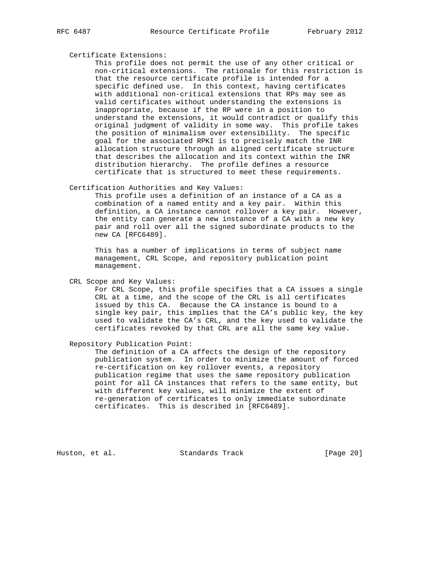#### Certificate Extensions:

 This profile does not permit the use of any other critical or non-critical extensions. The rationale for this restriction is that the resource certificate profile is intended for a specific defined use. In this context, having certificates with additional non-critical extensions that RPs may see as valid certificates without understanding the extensions is inappropriate, because if the RP were in a position to understand the extensions, it would contradict or qualify this original judgment of validity in some way. This profile takes the position of minimalism over extensibility. The specific goal for the associated RPKI is to precisely match the INR allocation structure through an aligned certificate structure that describes the allocation and its context within the INR distribution hierarchy. The profile defines a resource certificate that is structured to meet these requirements.

### Certification Authorities and Key Values:

 This profile uses a definition of an instance of a CA as a combination of a named entity and a key pair. Within this definition, a CA instance cannot rollover a key pair. However, the entity can generate a new instance of a CA with a new key pair and roll over all the signed subordinate products to the new CA [RFC6489].

 This has a number of implications in terms of subject name management, CRL Scope, and repository publication point management.

CRL Scope and Key Values:

 For CRL Scope, this profile specifies that a CA issues a single CRL at a time, and the scope of the CRL is all certificates issued by this CA. Because the CA instance is bound to a single key pair, this implies that the CA's public key, the key used to validate the CA's CRL, and the key used to validate the certificates revoked by that CRL are all the same key value.

Repository Publication Point:

 The definition of a CA affects the design of the repository publication system. In order to minimize the amount of forced re-certification on key rollover events, a repository publication regime that uses the same repository publication point for all CA instances that refers to the same entity, but with different key values, will minimize the extent of re-generation of certificates to only immediate subordinate certificates. This is described in [RFC6489].

Huston, et al. Standards Track [Page 20]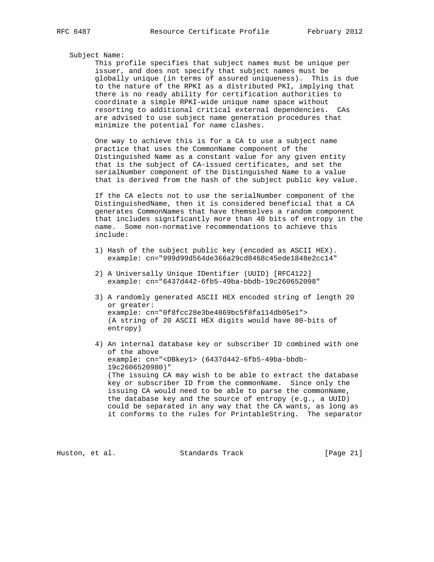#### Subject Name:

 This profile specifies that subject names must be unique per issuer, and does not specify that subject names must be globally unique (in terms of assured uniqueness). This is due to the nature of the RPKI as a distributed PKI, implying that there is no ready ability for certification authorities to coordinate a simple RPKI-wide unique name space without resorting to additional critical external dependencies. CAs are advised to use subject name generation procedures that minimize the potential for name clashes.

 One way to achieve this is for a CA to use a subject name practice that uses the CommonName component of the Distinguished Name as a constant value for any given entity that is the subject of CA-issued certificates, and set the serialNumber component of the Distinguished Name to a value that is derived from the hash of the subject public key value.

 If the CA elects not to use the serialNumber component of the DistinguishedName, then it is considered beneficial that a CA generates CommonNames that have themselves a random component that includes significantly more than 40 bits of entropy in the name. Some non-normative recommendations to achieve this include:

- 1) Hash of the subject public key (encoded as ASCII HEX). example: cn="999d99d564de366a29cd8468c45ede1848e2cc14"
- 2) A Universally Unique IDentifier (UUID) [RFC4122] example: cn="6437d442-6fb5-49ba-bbdb-19c260652098"
- 3) A randomly generated ASCII HEX encoded string of length 20 or greater: example: cn="0f8fcc28e3be4869bc5f8fa114db05e1"> (A string of 20 ASCII HEX digits would have 80-bits of entropy)
- 4) An internal database key or subscriber ID combined with one of the above example: cn="<DBkey1> (6437d442-6fb5-49ba-bbdb- 19c2606520980)" (The issuing CA may wish to be able to extract the database key or subscriber ID from the commonName. Since only the issuing CA would need to be able to parse the commonName, the database key and the source of entropy (e.g., a UUID) could be separated in any way that the CA wants, as long as it conforms to the rules for PrintableString. The separator

Huston, et al. Standards Track [Page 21]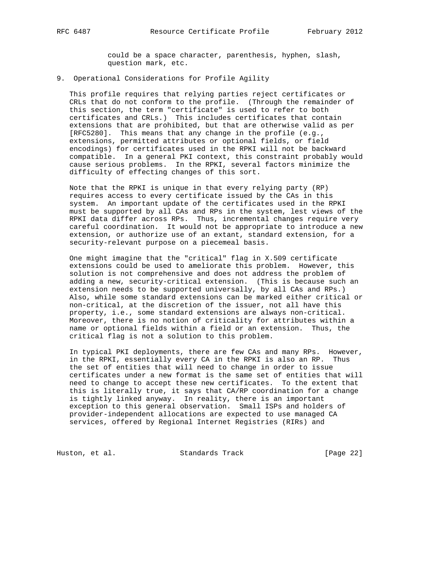could be a space character, parenthesis, hyphen, slash, question mark, etc.

## 9. Operational Considerations for Profile Agility

 This profile requires that relying parties reject certificates or CRLs that do not conform to the profile. (Through the remainder of this section, the term "certificate" is used to refer to both certificates and CRLs.) This includes certificates that contain extensions that are prohibited, but that are otherwise valid as per [RFC5280]. This means that any change in the profile (e.g., extensions, permitted attributes or optional fields, or field encodings) for certificates used in the RPKI will not be backward compatible. In a general PKI context, this constraint probably would cause serious problems. In the RPKI, several factors minimize the difficulty of effecting changes of this sort.

 Note that the RPKI is unique in that every relying party (RP) requires access to every certificate issued by the CAs in this system. An important update of the certificates used in the RPKI must be supported by all CAs and RPs in the system, lest views of the RPKI data differ across RPs. Thus, incremental changes require very careful coordination. It would not be appropriate to introduce a new extension, or authorize use of an extant, standard extension, for a security-relevant purpose on a piecemeal basis.

 One might imagine that the "critical" flag in X.509 certificate extensions could be used to ameliorate this problem. However, this solution is not comprehensive and does not address the problem of adding a new, security-critical extension. (This is because such an extension needs to be supported universally, by all CAs and RPs.) Also, while some standard extensions can be marked either critical or non-critical, at the discretion of the issuer, not all have this property, i.e., some standard extensions are always non-critical. Moreover, there is no notion of criticality for attributes within a name or optional fields within a field or an extension. Thus, the critical flag is not a solution to this problem.

 In typical PKI deployments, there are few CAs and many RPs. However, in the RPKI, essentially every CA in the RPKI is also an RP. Thus the set of entities that will need to change in order to issue certificates under a new format is the same set of entities that will need to change to accept these new certificates. To the extent that this is literally true, it says that CA/RP coordination for a change is tightly linked anyway. In reality, there is an important exception to this general observation. Small ISPs and holders of provider-independent allocations are expected to use managed CA services, offered by Regional Internet Registries (RIRs) and

Huston, et al. Standards Track [Page 22]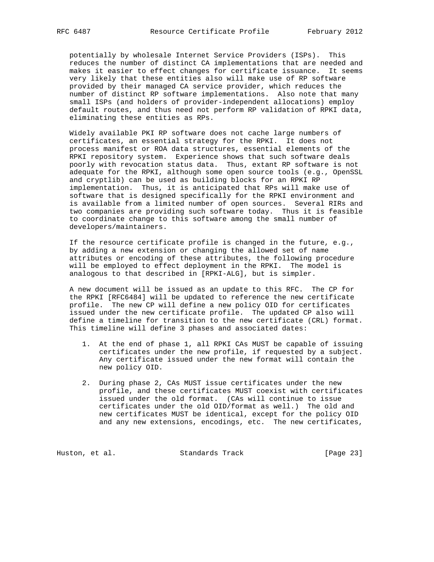potentially by wholesale Internet Service Providers (ISPs). This reduces the number of distinct CA implementations that are needed and makes it easier to effect changes for certificate issuance. It seems very likely that these entities also will make use of RP software provided by their managed CA service provider, which reduces the number of distinct RP software implementations. Also note that many small ISPs (and holders of provider-independent allocations) employ default routes, and thus need not perform RP validation of RPKI data, eliminating these entities as RPs.

 Widely available PKI RP software does not cache large numbers of certificates, an essential strategy for the RPKI. It does not process manifest or ROA data structures, essential elements of the RPKI repository system. Experience shows that such software deals poorly with revocation status data. Thus, extant RP software is not adequate for the RPKI, although some open source tools (e.g., OpenSSL and cryptlib) can be used as building blocks for an RPKI RP implementation. Thus, it is anticipated that RPs will make use of software that is designed specifically for the RPKI environment and is available from a limited number of open sources. Several RIRs and two companies are providing such software today. Thus it is feasible to coordinate change to this software among the small number of developers/maintainers.

 If the resource certificate profile is changed in the future, e.g., by adding a new extension or changing the allowed set of name attributes or encoding of these attributes, the following procedure will be employed to effect deployment in the RPKI. The model is analogous to that described in [RPKI-ALG], but is simpler.

 A new document will be issued as an update to this RFC. The CP for the RPKI [RFC6484] will be updated to reference the new certificate profile. The new CP will define a new policy OID for certificates issued under the new certificate profile. The updated CP also will define a timeline for transition to the new certificate (CRL) format. This timeline will define 3 phases and associated dates:

- 1. At the end of phase 1, all RPKI CAs MUST be capable of issuing certificates under the new profile, if requested by a subject. Any certificate issued under the new format will contain the new policy OID.
- 2. During phase 2, CAs MUST issue certificates under the new profile, and these certificates MUST coexist with certificates issued under the old format. (CAs will continue to issue certificates under the old OID/format as well.) The old and new certificates MUST be identical, except for the policy OID and any new extensions, encodings, etc. The new certificates,

Huston, et al. Standards Track [Page 23]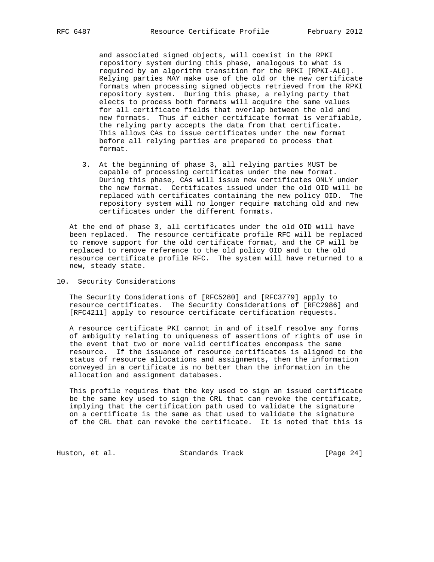and associated signed objects, will coexist in the RPKI repository system during this phase, analogous to what is required by an algorithm transition for the RPKI [RPKI-ALG]. Relying parties MAY make use of the old or the new certificate formats when processing signed objects retrieved from the RPKI repository system. During this phase, a relying party that elects to process both formats will acquire the same values for all certificate fields that overlap between the old and new formats. Thus if either certificate format is verifiable, the relying party accepts the data from that certificate. This allows CAs to issue certificates under the new format before all relying parties are prepared to process that format.

 3. At the beginning of phase 3, all relying parties MUST be capable of processing certificates under the new format. During this phase, CAs will issue new certificates ONLY under the new format. Certificates issued under the old OID will be replaced with certificates containing the new policy OID. The repository system will no longer require matching old and new certificates under the different formats.

 At the end of phase 3, all certificates under the old OID will have been replaced. The resource certificate profile RFC will be replaced to remove support for the old certificate format, and the CP will be replaced to remove reference to the old policy OID and to the old resource certificate profile RFC. The system will have returned to a new, steady state.

10. Security Considerations

 The Security Considerations of [RFC5280] and [RFC3779] apply to resource certificates. The Security Considerations of [RFC2986] and [RFC4211] apply to resource certificate certification requests.

 A resource certificate PKI cannot in and of itself resolve any forms of ambiguity relating to uniqueness of assertions of rights of use in the event that two or more valid certificates encompass the same resource. If the issuance of resource certificates is aligned to the status of resource allocations and assignments, then the information conveyed in a certificate is no better than the information in the allocation and assignment databases.

 This profile requires that the key used to sign an issued certificate be the same key used to sign the CRL that can revoke the certificate, implying that the certification path used to validate the signature on a certificate is the same as that used to validate the signature of the CRL that can revoke the certificate. It is noted that this is

Huston, et al. Standards Track [Page 24]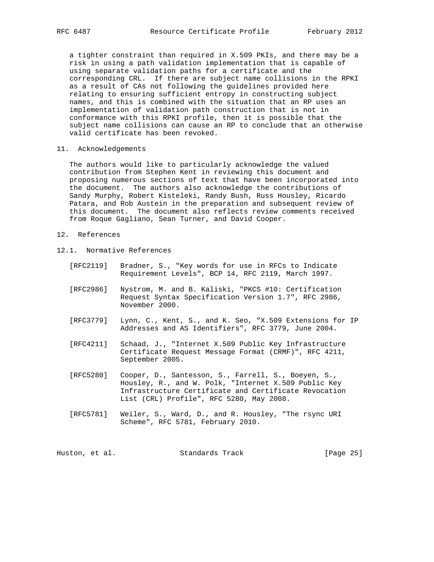a tighter constraint than required in X.509 PKIs, and there may be a risk in using a path validation implementation that is capable of using separate validation paths for a certificate and the corresponding CRL. If there are subject name collisions in the RPKI as a result of CAs not following the guidelines provided here relating to ensuring sufficient entropy in constructing subject names, and this is combined with the situation that an RP uses an implementation of validation path construction that is not in conformance with this RPKI profile, then it is possible that the subject name collisions can cause an RP to conclude that an otherwise valid certificate has been revoked.

11. Acknowledgements

 The authors would like to particularly acknowledge the valued contribution from Stephen Kent in reviewing this document and proposing numerous sections of text that have been incorporated into the document. The authors also acknowledge the contributions of Sandy Murphy, Robert Kisteleki, Randy Bush, Russ Housley, Ricardo Patara, and Rob Austein in the preparation and subsequent review of this document. The document also reflects review comments received from Roque Gagliano, Sean Turner, and David Cooper.

- 12. References
- 12.1. Normative References
	- [RFC2119] Bradner, S., "Key words for use in RFCs to Indicate Requirement Levels", BCP 14, RFC 2119, March 1997.
	- [RFC2986] Nystrom, M. and B. Kaliski, "PKCS #10: Certification Request Syntax Specification Version 1.7", RFC 2986, November 2000.
	- [RFC3779] Lynn, C., Kent, S., and K. Seo, "X.509 Extensions for IP Addresses and AS Identifiers", RFC 3779, June 2004.
	- [RFC4211] Schaad, J., "Internet X.509 Public Key Infrastructure Certificate Request Message Format (CRMF)", RFC 4211, September 2005.
	- [RFC5280] Cooper, D., Santesson, S., Farrell, S., Boeyen, S., Housley, R., and W. Polk, "Internet X.509 Public Key Infrastructure Certificate and Certificate Revocation List (CRL) Profile", RFC 5280, May 2008.
	- [RFC5781] Weiler, S., Ward, D., and R. Housley, "The rsync URI Scheme", RFC 5781, February 2010.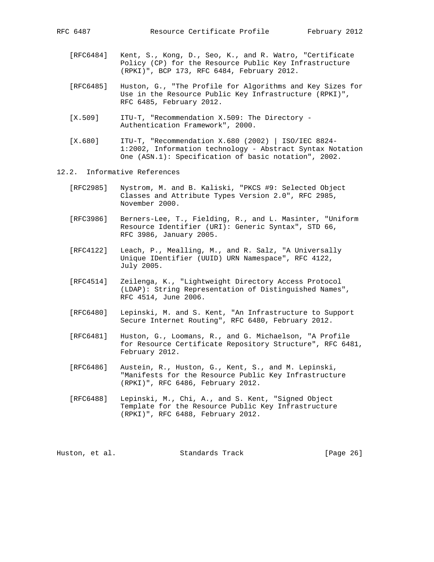- [RFC6484] Kent, S., Kong, D., Seo, K., and R. Watro, "Certificate Policy (CP) for the Resource Public Key Infrastructure (RPKI)", BCP 173, RFC 6484, February 2012.
- [RFC6485] Huston, G., "The Profile for Algorithms and Key Sizes for Use in the Resource Public Key Infrastructure (RPKI)", RFC 6485, February 2012.
- [X.509] ITU-T, "Recommendation X.509: The Directory Authentication Framework", 2000.
- [X.680] ITU-T, "Recommendation X.680 (2002) | ISO/IEC 8824- 1:2002, Information technology - Abstract Syntax Notation One (ASN.1): Specification of basic notation", 2002.
- 12.2. Informative References
	- [RFC2985] Nystrom, M. and B. Kaliski, "PKCS #9: Selected Object Classes and Attribute Types Version 2.0", RFC 2985, November 2000.
	- [RFC3986] Berners-Lee, T., Fielding, R., and L. Masinter, "Uniform Resource Identifier (URI): Generic Syntax", STD 66, RFC 3986, January 2005.
	- [RFC4122] Leach, P., Mealling, M., and R. Salz, "A Universally Unique IDentifier (UUID) URN Namespace", RFC 4122, July 2005.
	- [RFC4514] Zeilenga, K., "Lightweight Directory Access Protocol (LDAP): String Representation of Distinguished Names", RFC 4514, June 2006.
	- [RFC6480] Lepinski, M. and S. Kent, "An Infrastructure to Support Secure Internet Routing", RFC 6480, February 2012.
	- [RFC6481] Huston, G., Loomans, R., and G. Michaelson, "A Profile for Resource Certificate Repository Structure", RFC 6481, February 2012.
	- [RFC6486] Austein, R., Huston, G., Kent, S., and M. Lepinski, "Manifests for the Resource Public Key Infrastructure (RPKI)", RFC 6486, February 2012.
	- [RFC6488] Lepinski, M., Chi, A., and S. Kent, "Signed Object Template for the Resource Public Key Infrastructure (RPKI)", RFC 6488, February 2012.

Huston, et al. Standards Track [Page 26]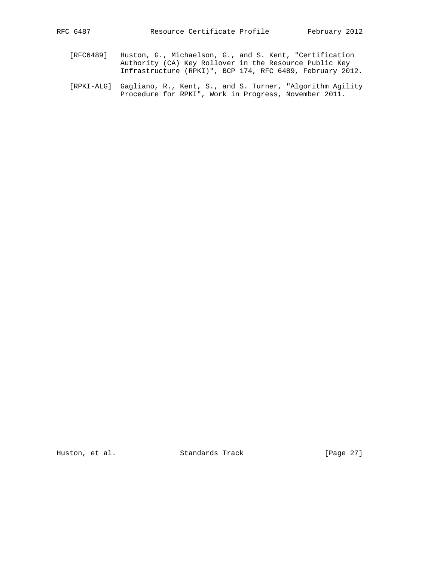- 
- [RFC6489] Huston, G., Michaelson, G., and S. Kent, "Certification Authority (CA) Key Rollover in the Resource Public Key Infrastructure (RPKI)", BCP 174, RFC 6489, February 2012.
- [RPKI-ALG] Gagliano, R., Kent, S., and S. Turner, "Algorithm Agility Procedure for RPKI", Work in Progress, November 2011.

Huston, et al. Standards Track [Page 27]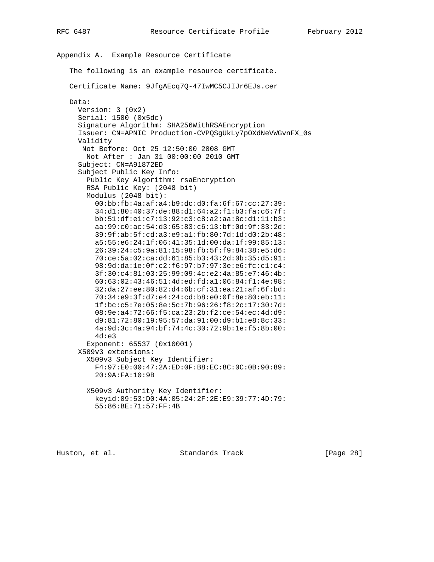```
Appendix A. Example Resource Certificate
   The following is an example resource certificate.
   Certificate Name: 9JfgAEcq7Q-47IwMC5CJIJr6EJs.cer
  Data:
    Version: 3 (0x2)
     Serial: 1500 (0x5dc)
     Signature Algorithm: SHA256WithRSAEncryption
     Issuer: CN=APNIC Production-CVPQSgUkLy7pOXdNeVWGvnFX_0s
     Validity
     Not Before: Oct 25 12:50:00 2008 GMT
       Not After : Jan 31 00:00:00 2010 GMT
     Subject: CN=A91872ED
     Subject Public Key Info:
       Public Key Algorithm: rsaEncryption
       RSA Public Key: (2048 bit)
       Modulus (2048 bit):
         00:bb:fb:4a:af:a4:b9:dc:d0:fa:6f:67:cc:27:39:
         34:d1:80:40:37:de:88:d1:64:a2:f1:b3:fa:c6:7f:
         bb:51:df:e1:c7:13:92:c3:c8:a2:aa:8c:d1:11:b3:
         aa:99:c0:ac:54:d3:65:83:c6:13:bf:0d:9f:33:2d:
         39:9f:ab:5f:cd:a3:e9:a1:fb:80:7d:1d:d0:2b:48:
         a5:55:e6:24:1f:06:41:35:1d:00:da:1f:99:85:13:
         26:39:24:c5:9a:81:15:98:fb:5f:f9:84:38:e5:d6:
         70:ce:5a:02:ca:dd:61:85:b3:43:2d:0b:35:d5:91:
         98:9d:da:1e:0f:c2:f6:97:b7:97:3e:e6:fc:c1:c4:
         3f:30:c4:81:03:25:99:09:4c:e2:4a:85:e7:46:4b:
         60:63:02:43:46:51:4d:ed:fd:a1:06:84:f1:4e:98:
         32:da:27:ee:80:82:d4:6b:cf:31:ea:21:af:6f:bd:
         70:34:e9:3f:d7:e4:24:cd:b8:e0:0f:8e:80:eb:11:
         1f:bc:c5:7e:05:8e:5c:7b:96:26:f8:2c:17:30:7d:
         08:9e:a4:72:66:f5:ca:23:2b:f2:ce:54:ec:4d:d9:
         d9:81:72:80:19:95:57:da:91:00:d9:b1:e8:8c:33:
         4a:9d:3c:4a:94:bf:74:4c:30:72:9b:1e:f5:8b:00:
         4d:e3
       Exponent: 65537 (0x10001)
     X509v3 extensions:
       X509v3 Subject Key Identifier:
         F4:97:E0:00:47:2A:ED:0F:B8:EC:8C:0C:0B:90:89:
         20:9A:FA:10:9B
       X509v3 Authority Key Identifier:
         keyid:09:53:D0:4A:05:24:2F:2E:E9:39:77:4D:79:
         55:86:BE:71:57:FF:4B
```
Huston, et al. Standards Track [Page 28]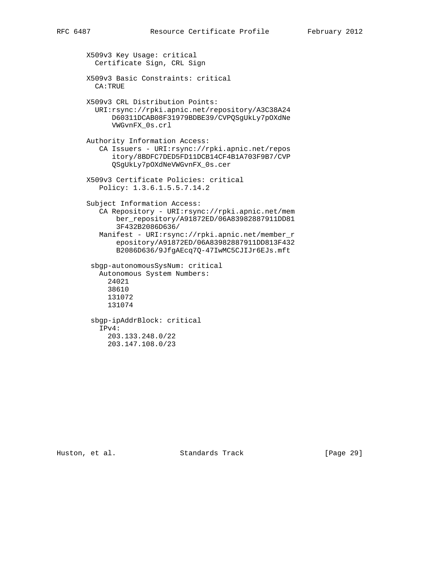```
 X509v3 Key Usage: critical
  Certificate Sign, CRL Sign
X509v3 Basic Constraints: critical
  CA:TRUE
X509v3 CRL Distribution Points:
  URI:rsync://rpki.apnic.net/repository/A3C38A24
      D60311DCAB08F31979BDBE39/CVPQSgUkLy7pOXdNe
      VWGvnFX_0s.crl
Authority Information Access:
   CA Issuers - URI:rsync://rpki.apnic.net/repos
      itory/8BDFC7DED5FD11DCB14CF4B1A703F9B7/CVP
      QSgUkLy7pOXdNeVWGvnFX_0s.cer
X509v3 Certificate Policies: critical
   Policy: 1.3.6.1.5.5.7.14.2
Subject Information Access:
   CA Repository - URI:rsync://rpki.apnic.net/mem
       ber_repository/A91872ED/06A83982887911DD81
       3F432B2086D636/
   Manifest - URI:rsync://rpki.apnic.net/member_r
       epository/A91872ED/06A83982887911DD813F432
       B2086D636/9JfgAEcq7Q-47IwMC5CJIJr6EJs.mft
 sbgp-autonomousSysNum: critical
   Autonomous System Numbers:
     24021
     38610
     131072
     131074
 sbgp-ipAddrBlock: critical
   IPv4:
     203.133.248.0/22
     203.147.108.0/23
```
Huston, et al. Standards Track [Page 29]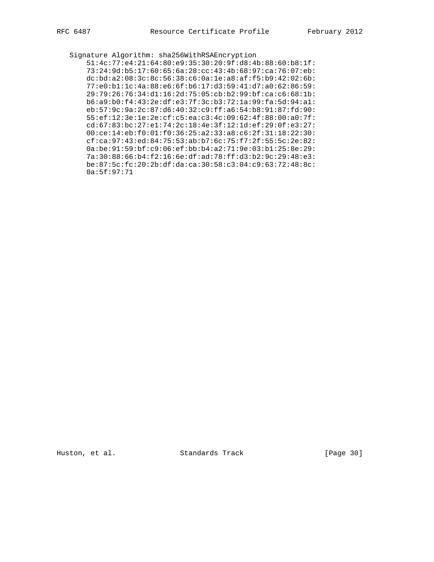Signature Algorithm: sha256WithRSAEncryption 51:4c:77:e4:21:64:80:e9:35:30:20:9f:d8:4b:88:60:b8:1f: 73:24:9d:b5:17:60:65:6a:28:cc:43:4b:68:97:ca:76:07:eb: dc:bd:a2:08:3c:8c:56:38:c6:0a:1e:a8:af:f5:b9:42:02:6b: 77:e0:b1:1c:4a:88:e6:6f:b6:17:d3:59:41:d7:a0:62:86:59: 29:79:26:76:34:d1:16:2d:75:05:cb:b2:99:bf:ca:c6:68:1b: b6:a9:b0:f4:43:2e:df:e3:7f:3c:b3:72:1a:99:fa:5d:94:a1: eb:57:9c:9a:2c:87:d6:40:32:c9:ff:a6:54:b8:91:87:fd:90: 55:ef:12:3e:1e:2e:cf:c5:ea:c3:4c:09:62:4f:88:00:a0:7f: cd:67:83:bc:27:e1:74:2c:18:4e:3f:12:1d:ef:29:0f:e3:27: 00:ce:14:eb:f0:01:f0:36:25:a2:33:a8:c6:2f:31:18:22:30: cf:ca:97:43:ed:84:75:53:ab:b7:6c:75:f7:2f:55:5c:2e:82: 0a:be:91:59:bf:c9:06:ef:bb:b4:a2:71:9e:03:b1:25:8e:29: 7a:30:88:66:b4:f2:16:6e:df:ad:78:ff:d3:b2:9c:29:48:e3: be:87:5c:fc:20:2b:df:da:ca:30:58:c3:04:c9:63:72:48:8c: 0a:5f:97:71

Huston, et al. Standards Track [Page 30]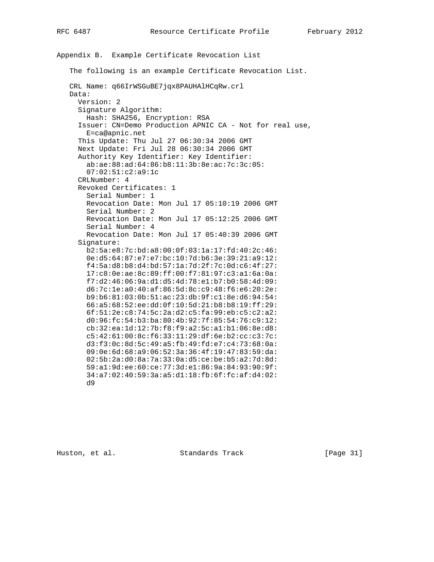Appendix B. Example Certificate Revocation List The following is an example Certificate Revocation List. CRL Name: q66IrWSGuBE7jqx8PAUHAlHCqRw.crl Data: Version: 2 Signature Algorithm: Hash: SHA256, Encryption: RSA Issuer: CN=Demo Production APNIC CA - Not for real use, E=ca@apnic.net This Update: Thu Jul 27 06:30:34 2006 GMT Next Update: Fri Jul 28 06:30:34 2006 GMT Authority Key Identifier: Key Identifier: ab:ae:88:ad:64:86:b8:11:3b:8e:ac:7c:3c:05: 07:02:51:c2:a9:1c CRLNumber: 4 Revoked Certificates: 1 Serial Number: 1 Revocation Date: Mon Jul 17 05:10:19 2006 GMT Serial Number: 2 Revocation Date: Mon Jul 17 05:12:25 2006 GMT Serial Number: 4 Revocation Date: Mon Jul 17 05:40:39 2006 GMT Signature: b2:5a:e8:7c:bd:a8:00:0f:03:1a:17:fd:40:2c:46: 0e:d5:64:87:e7:e7:bc:10:7d:b6:3e:39:21:a9:12: f4:5a:d8:b8:d4:bd:57:1a:7d:2f:7c:0d:c6:4f:27: 17:c8:0e:ae:8c:89:ff:00:f7:81:97:c3:a1:6a:0a: f7:d2:46:06:9a:d1:d5:4d:78:e1:b7:b0:58:4d:09: d6:7c:1e:a0:40:af:86:5d:8c:c9:48:f6:e6:20:2e: b9:b6:81:03:0b:51:ac:23:db:9f:c1:8e:d6:94:54: 66:a5:68:52:ee:dd:0f:10:5d:21:b8:b8:19:ff:29: 6f:51:2e:c8:74:5c:2a:d2:c5:fa:99:eb:c5:c2:a2: d0:96:fc:54:b3:ba:80:4b:92:7f:85:54:76:c9:12: cb:32:ea:1d:12:7b:f8:f9:a2:5c:a1:b1:06:8e:d8: c5:42:61:00:8c:f6:33:11:29:df:6e:b2:cc:c3:7c: d3:f3:0c:8d:5c:49:a5:fb:49:fd:e7:c4:73:68:0a: 09:0e:6d:68:a9:06:52:3a:36:4f:19:47:83:59:da: 02:5b:2a:d0:8a:7a:33:0a:d5:ce:be:b5:a2:7d:8d: 59:a1:9d:ee:60:ce:77:3d:e1:86:9a:84:93:90:9f: 34:a7:02:40:59:3a:a5:d1:18:fb:6f:fc:af:d4:02: d9

Huston, et al. Standards Track [Page 31]